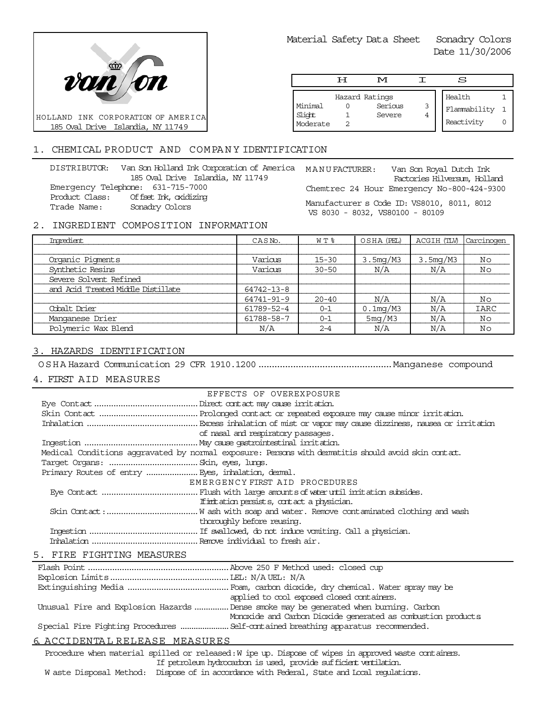

Material Safety Data Sheet Sonadry Colors

Date 11/30/2006

|                               | டா | M                                   |   | S                                    |  |
|-------------------------------|----|-------------------------------------|---|--------------------------------------|--|
| Minimal<br>Slight<br>Moderate |    | Hazard Ratings<br>Serious<br>Severe | 3 | Health<br>Flammability<br>Reactivity |  |

# 1. CHEMICAL PRODUCT AND COMPANY IDENTIFICATION

DISTRIBUTOR: Van Son Holland Ink Corporation of America MANU FACTURER: 185 Oval Drive Islandia, NY 11749 Emergency Telephone: 631-715-7000 Product Class: Offset Ink, oxidizing Trade Name: Sonadry Colors

Van Son Royal Dutch Ink Factories Hilversum, Holland Chemtrec 24 Hour Emergency No-800-424-9300 Manufacturer s Code ID: VS8010, 8011, 8012

VS 8030 - 8032, VS80100 - 80109

### 2. INGREDIENT COMPOSITION INFORMATION

| Imredient                          | CASN <sub>o</sub> . | W T %     | OSHA (PEL)  | ACGIH (TLV) | Carcinogen |
|------------------------------------|---------------------|-----------|-------------|-------------|------------|
|                                    |                     |           |             |             |            |
| Organic Pigments                   | Various             | $15 - 30$ | 3.5mg/M3    | 3.5mg/M3    | No         |
| Synthetic Resins                   | Various             | $30 - 50$ | N/A         | N/A         | Νo         |
| Severe Solvent Refined             |                     |           |             |             |            |
| and Acid Treated Middle Distillate | 64742-13-8          |           |             |             |            |
|                                    | 64741-91-9          | $20 - 40$ | N/A         | N/A         | No         |
| Cobalt Drier                       | 61789-52-4          | $0 - 1$   | $0.1$ mg/M3 | N/A         | IARC       |
| Manganese Drier                    | 61788-58-7          | $0 - 1$   | 5mg/M3      | N/A         | No         |
| Polymeric Wax Blend                | N/A                 | $2 - 4$   | N/A         | N/A         | Νo         |

# 3. HAZARDS IDENTIFICATION

OSHA Hazard Communication 29 CFR 1910.1200..................................................Manganese compound

## 4. FIRST AID MEASURES

| EFFECTS OF OVEREXPOSURE                                                                            |
|----------------------------------------------------------------------------------------------------|
|                                                                                                    |
|                                                                                                    |
|                                                                                                    |
| of nasal and respiratory passages.                                                                 |
|                                                                                                    |
| Medical Conditions aggravated by normal exposure: Persons with dematitis should avoid skin contat. |
|                                                                                                    |
|                                                                                                    |
| EMERGENCY FIRST AID PROCEDURES                                                                     |
|                                                                                                    |
| If initiation persists, contact a physician.                                                       |
|                                                                                                    |
| thoroughly before reusing.                                                                         |
|                                                                                                    |
|                                                                                                    |
|                                                                                                    |
|                                                                                                    |

### 5. FIRE FIGHTING MEASURES

|                                                 | applied to cool exposed closed containers.                                            |
|-------------------------------------------------|---------------------------------------------------------------------------------------|
|                                                 | Unusual Fire and Explosion Hazards  Dense smoke may be generated when burning. Carbon |
|                                                 | Monoxide and Carbon Dioxide generated as combustion products                          |
|                                                 |                                                                                       |
| $\epsilon$ מסווים מהווי היה מה היהוד המסורים מה |                                                                                       |

# 6. ACCIDENTA L RELEASE MEASURES

Procedure when material spilled or released: W ipe up. Dispose of wipes in approved waste containers. If petroleum hydrocarbon is used, provide sufficient ventilation.

W aste Disposal Method: Dispose of in accordance with Federal, State and Local regulations.